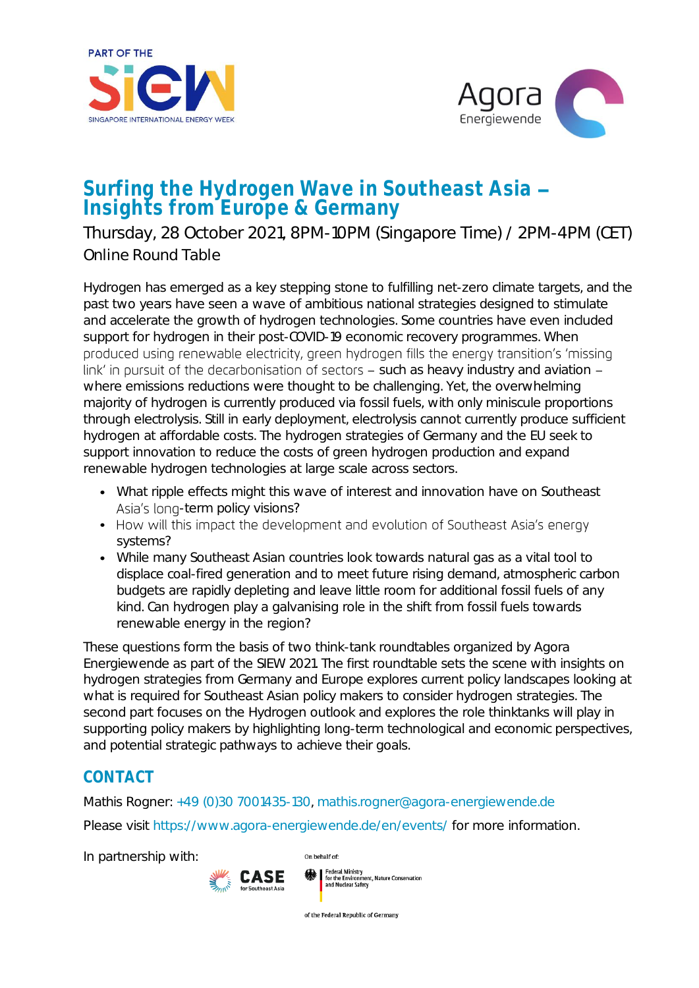



## Surfing the Hydrogen Wave in Southeast Asia Insights from Europe & Germany

Thursday, 28 October 2021, 8PM-10PM (Singapore Time) / 2PM-4PM (CET) Online Round Table

Hydrogen has emerged as a key stepping stone to fulfilling net-zero climate targets, and the past two years have seen a wave of ambitious national strategies designed to stimulate and accelerate the growth of hydrogen technologies. Some countries have even included support for hydrogen in their post-COVID-19 economic recovery programmes. When produced using renewable electricity, green hydrogen fills the energy transition's 'missing link' in pursuit of the decarbonisation of sectors  $-$  such as heavy industry and aviation  $$ where emissions reductions were thought to be challenging. Yet, the overwhelming majority of hydrogen is currently produced via fossil fuels, with only miniscule proportions through electrolysis. Still in early deployment, electrolysis cannot currently produce sufficient hydrogen at affordable costs. The hydrogen strategies of Germany and the EU seek to support innovation to reduce the costs of green hydrogen production and expand renewable hydrogen technologies at large scale across sectors.

- What ripple effects might this wave of interest and innovation have on Southeast Asia's long-term policy visions?
- How will this impact the development and evolution of Southeast Asia's energy systems?
- While many Southeast Asian countries look towards natural gas as a vital tool to displace coal-fired generation and to meet future rising demand, atmospheric carbon budgets are rapidly depleting and leave little room for additional fossil fuels of any kind. Can hydrogen play a galvanising role in the shift from fossil fuels towards renewable energy in the region?

These questions form the basis of two think-tank roundtables organized by Agora Energiewende as part of the SIEW 2021. The first roundtable sets the scene with insights on hydrogen strategies from Germany and Europe explores current policy landscapes looking at what is required for Southeast Asian policy makers to consider hydrogen strategies. The second part focuses on the Hydrogen outlook and explores the role thinktanks will play in supporting policy makers by highlighting long-term technological and economic perspectives, and potential strategic pathways to achieve their goals.

## CONTACT

Mathis Rogner: [+49 \(0\)30 7001435-130](tel:+49(0)30%207001435-130), [mathis.rogner@agora-energiewende.de](mailto:mathis.rogner@agora-energiewende.de) Please visit <https://www.agora-energiewende.de/en/events/> for more information.

In partnership with:



of the Federal Republic of Germany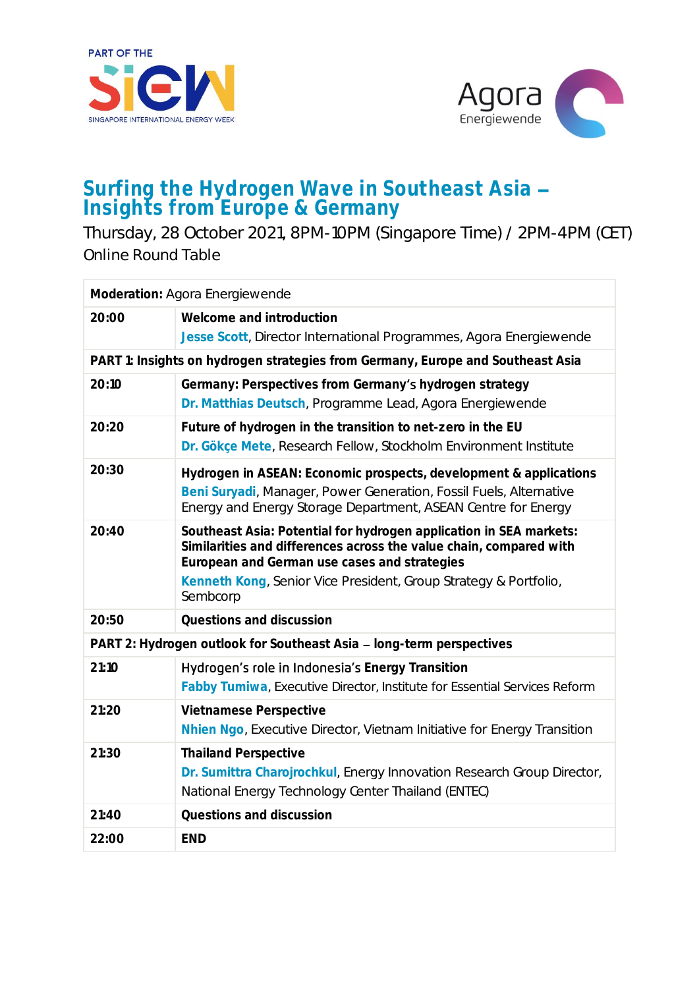



## Surfing the Hydrogen Wave in Southeast Asia Insights from Europe & Germany

Thursday, 28 October 2021, 8PM-10PM (Singapore Time) / 2PM-4PM (CET) Online Round Table

| Moderation: Agora Energiewende                                                  |                                                                                                                                                                                                                                                                          |  |
|---------------------------------------------------------------------------------|--------------------------------------------------------------------------------------------------------------------------------------------------------------------------------------------------------------------------------------------------------------------------|--|
| 20:00                                                                           | Welcome and introduction<br>Jesse Scott, Director International Programmes, Agora Energiewende                                                                                                                                                                           |  |
| PART 1: Insights on hydrogen strategies from Germany, Europe and Southeast Asia |                                                                                                                                                                                                                                                                          |  |
| 20:10                                                                           | Germany: Perspectives from Germany's hydrogen strategy<br>Dr. Matthias Deutsch, Programme Lead, Agora Energiewende                                                                                                                                                       |  |
| 20:20                                                                           | Future of hydrogen in the transition to net-zero in the EU<br>Dr. Gökçe Mete, Research Fellow, Stockholm Environment Institute                                                                                                                                           |  |
| 20:30                                                                           | Hydrogen in ASEAN: Economic prospects, development & applications<br>Beni Suryadi, Manager, Power Generation, Fossil Fuels, Alternative<br>Energy and Energy Storage Department, ASEAN Centre for Energy                                                                 |  |
| 20:40                                                                           | Southeast Asia: Potential for hydrogen application in SEA markets:<br>Similarities and differences across the value chain, compared with<br>European and German use cases and strategies<br>Kenneth Kong, Senior Vice President, Group Strategy & Portfolio,<br>Sembcorp |  |
| 20:50                                                                           | Questions and discussion                                                                                                                                                                                                                                                 |  |
| PART 2: Hydrogen outlook for Southeast Asia - long-term perspectives            |                                                                                                                                                                                                                                                                          |  |
| 21:10                                                                           | Hydrogen's role in Indonesia's Energy Transition<br>Fabby Tumiwa, Executive Director, Institute for Essential Services Reform                                                                                                                                            |  |
| 21:20                                                                           | Vietnamese Perspective<br>Nhien Ngo, Executive Director, Vietnam Initiative for Energy Transition                                                                                                                                                                        |  |
| 21:30                                                                           | <b>Thailand Perspective</b><br>Dr. Sumittra Charojrochkul, Energy Innovation Research Group Director,<br>National Energy Technology Center Thailand (ENTEC)                                                                                                              |  |
| 21:40                                                                           | Questions and discussion                                                                                                                                                                                                                                                 |  |
| 22:00                                                                           | <b>END</b>                                                                                                                                                                                                                                                               |  |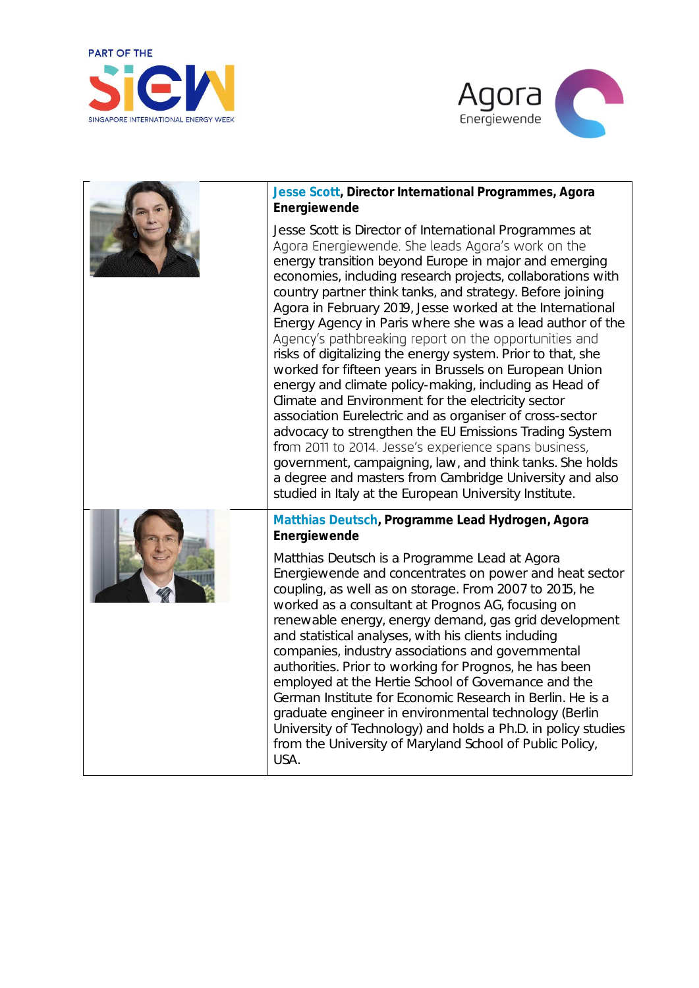



| Jesse Scott, Director International Programmes, Agora<br>Energiewende                                                                                                                                                                                                                                                                                                                                                                                                                                                                                                                                                                                                                                                                                                                                                                                                                                                                                                                                                                                                                        |
|----------------------------------------------------------------------------------------------------------------------------------------------------------------------------------------------------------------------------------------------------------------------------------------------------------------------------------------------------------------------------------------------------------------------------------------------------------------------------------------------------------------------------------------------------------------------------------------------------------------------------------------------------------------------------------------------------------------------------------------------------------------------------------------------------------------------------------------------------------------------------------------------------------------------------------------------------------------------------------------------------------------------------------------------------------------------------------------------|
| Jesse Scott is Director of International Programmes at<br>Agora Energiewende. She leads Agora's work on the<br>energy transition beyond Europe in major and emerging<br>economies, including research projects, collaborations with<br>country partner think tanks, and strategy. Before joining<br>Agora in February 2019, Jesse worked at the International<br>Energy Agency in Paris where she was a lead author of the<br>Agency's pathbreaking report on the opportunities and<br>risks of digitalizing the energy system. Prior to that, she<br>worked for fifteen years in Brussels on European Union<br>energy and climate policy-making, including as Head of<br>Climate and Environment for the electricity sector<br>association Eurelectric and as organiser of cross-sector<br>advocacy to strengthen the EU Emissions Trading System<br>from 2011 to 2014. Jesse's experience spans business,<br>government, campaigning, law, and think tanks. She holds<br>a degree and masters from Cambridge University and also<br>studied in Italy at the European University Institute. |
| Matthias Deutsch, Programme Lead Hydrogen, Agora<br>Energiewende<br>Matthias Deutsch is a Programme Lead at Agora<br>Energiewende and concentrates on power and heat sector<br>coupling, as well as on storage. From 2007 to 2015, he<br>worked as a consultant at Prognos AG, focusing on<br>renewable energy, energy demand, gas grid development<br>and statistical analyses, with his clients including<br>companies, industry associations and governmental<br>authorities. Prior to working for Prognos, he has been<br>employed at the Hertie School of Governance and the<br>German Institute for Economic Research in Berlin. He is a<br>graduate engineer in environmental technology (Berlin<br>University of Technology) and holds a Ph.D. in policy studies<br>from the University of Maryland School of Public Policy,<br>USA.                                                                                                                                                                                                                                                 |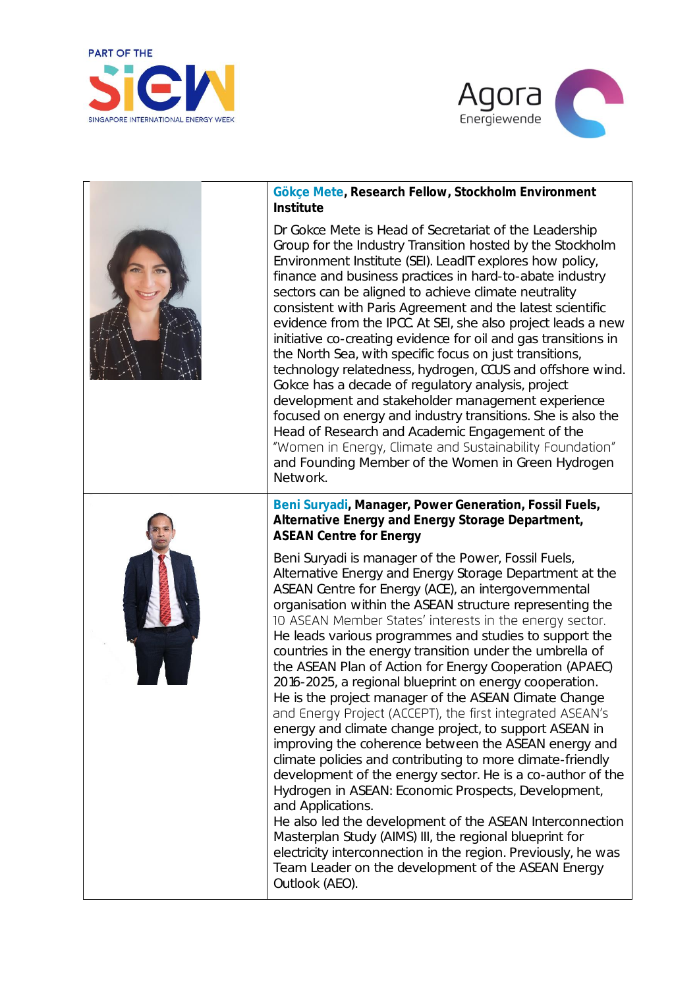



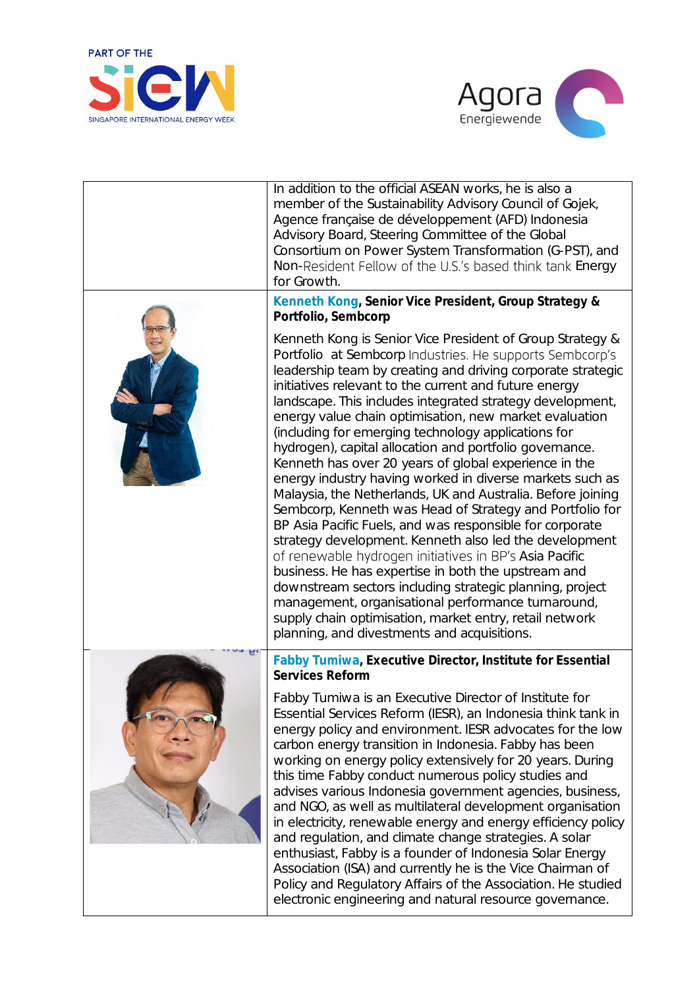



| In addition to the official ASEAN works, he is also a<br>member of the Sustainability Advisory Council of Gojek,<br>Agence française de développement (AFD) Indonesia<br>Advisory Board, Steering Committee of the Global<br>Consortium on Power System Transformation (G-PST), and<br>Non-Resident Fellow of the U.S.'s based think tank Energy<br>for Growth.<br>Kenneth Kong, Senior Vice President, Group Strategy &<br>Portfolio, Sembcorp                                                                                                                                                                                                                                                                                                                                                                                                                                                                                                                                                                                                                                                                                                                                                           |
|-----------------------------------------------------------------------------------------------------------------------------------------------------------------------------------------------------------------------------------------------------------------------------------------------------------------------------------------------------------------------------------------------------------------------------------------------------------------------------------------------------------------------------------------------------------------------------------------------------------------------------------------------------------------------------------------------------------------------------------------------------------------------------------------------------------------------------------------------------------------------------------------------------------------------------------------------------------------------------------------------------------------------------------------------------------------------------------------------------------------------------------------------------------------------------------------------------------|
| Kenneth Kong is Senior Vice President of Group Strategy &<br>Portfolio at Sembcorp Industries. He supports Sembcorp's<br>leadership team by creating and driving corporate strategic<br>initiatives relevant to the current and future energy<br>landscape. This includes integrated strategy development,<br>energy value chain optimisation, new market evaluation<br>(including for emerging technology applications for<br>hydrogen), capital allocation and portfolio governance.<br>Kenneth has over 20 years of global experience in the<br>energy industry having worked in diverse markets such as<br>Malaysia, the Netherlands, UK and Australia. Before joining<br>Sembcorp, Kenneth was Head of Strategy and Portfolio for<br>BP Asia Pacific Fuels, and was responsible for corporate<br>strategy development. Kenneth also led the development<br>of renewable hydrogen initiatives in BP's Asia Pacific<br>business. He has expertise in both the upstream and<br>downstream sectors including strategic planning, project<br>management, organisational performance turnaround,<br>supply chain optimisation, market entry, retail network<br>planning, and divestments and acquisitions. |
| Fabby Tumiwa, Executive Director, Institute for Essential<br>Services Reform<br>Fabby Tumiwa is an Executive Director of Institute for<br>Essential Services Reform (IESR), an Indonesia think tank in<br>energy policy and environment. IESR advocates for the low<br>carbon energy transition in Indonesia. Fabby has been<br>working on energy policy extensively for 20 years. During<br>this time Fabby conduct numerous policy studies and<br>advises various Indonesia government agencies, business,<br>and NGO, as well as multilateral development organisation<br>in electricity, renewable energy and energy efficiency policy<br>and regulation, and climate change strategies. A solar<br>enthusiast, Fabby is a founder of Indonesia Solar Energy<br>Association (ISA) and currently he is the Vice Chairman of<br>Policy and Regulatory Affairs of the Association. He studied<br>electronic engineering and natural resource governance.                                                                                                                                                                                                                                                 |